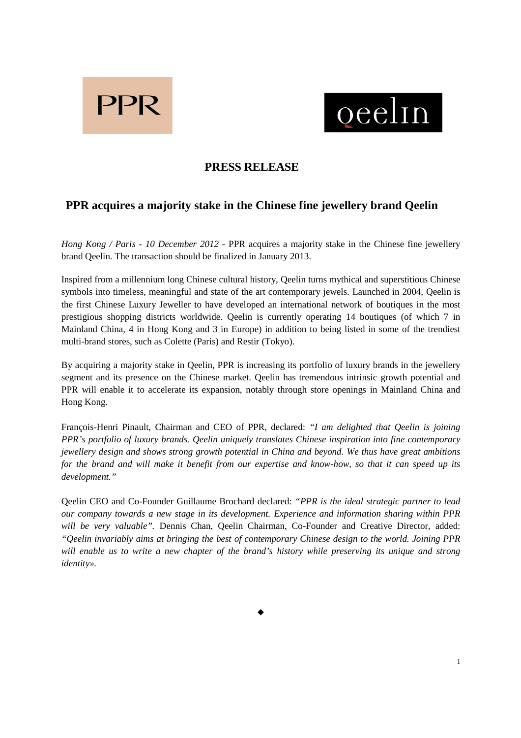



## **PRESS RELEASE**

# **PPR acquires a majority stake in the Chinese fine jewellery brand Qeelin**

*Hong Kong / Paris - 10 December 2012 -* PPR acquires a majority stake in the Chinese fine jewellery brand Qeelin. The transaction should be finalized in January 2013.

Inspired from a millennium long Chinese cultural history, Qeelin turns mythical and superstitious Chinese symbols into timeless, meaningful and state of the art contemporary jewels. Launched in 2004, Qeelin is the first Chinese Luxury Jeweller to have developed an international network of boutiques in the most prestigious shopping districts worldwide. Qeelin is currently operating 14 boutiques (of which 7 in Mainland China, 4 in Hong Kong and 3 in Europe) in addition to being listed in some of the trendiest multi-brand stores, such as Colette (Paris) and Restir (Tokyo).

By acquiring a majority stake in Qeelin, PPR is increasing its portfolio of luxury brands in the jewellery segment and its presence on the Chinese market. Qeelin has tremendous intrinsic growth potential and PPR will enable it to accelerate its expansion, notably through store openings in Mainland China and Hong Kong.

François-Henri Pinault, Chairman and CEO of PPR, declared: *"I am delighted that Qeelin is joining PPR's portfolio of luxury brands. Qeelin uniquely translates Chinese inspiration into fine contemporary jewellery design and shows strong growth potential in China and beyond. We thus have great ambitions for the brand and will make it benefit from our expertise and know-how, so that it can speed up its development."* 

Qeelin CEO and Co-Founder Guillaume Brochard declared: *"PPR is the ideal strategic partner to lead our company towards a new stage in its development. Experience and information sharing within PPR will be very valuable".* Dennis Chan, Qeelin Chairman, Co-Founder and Creative Director, added: *"Qeelin invariably aims at bringing the best of contemporary Chinese design to the world. Joining PPR will enable us to write a new chapter of the brand's history while preserving its unique and strong identity».*